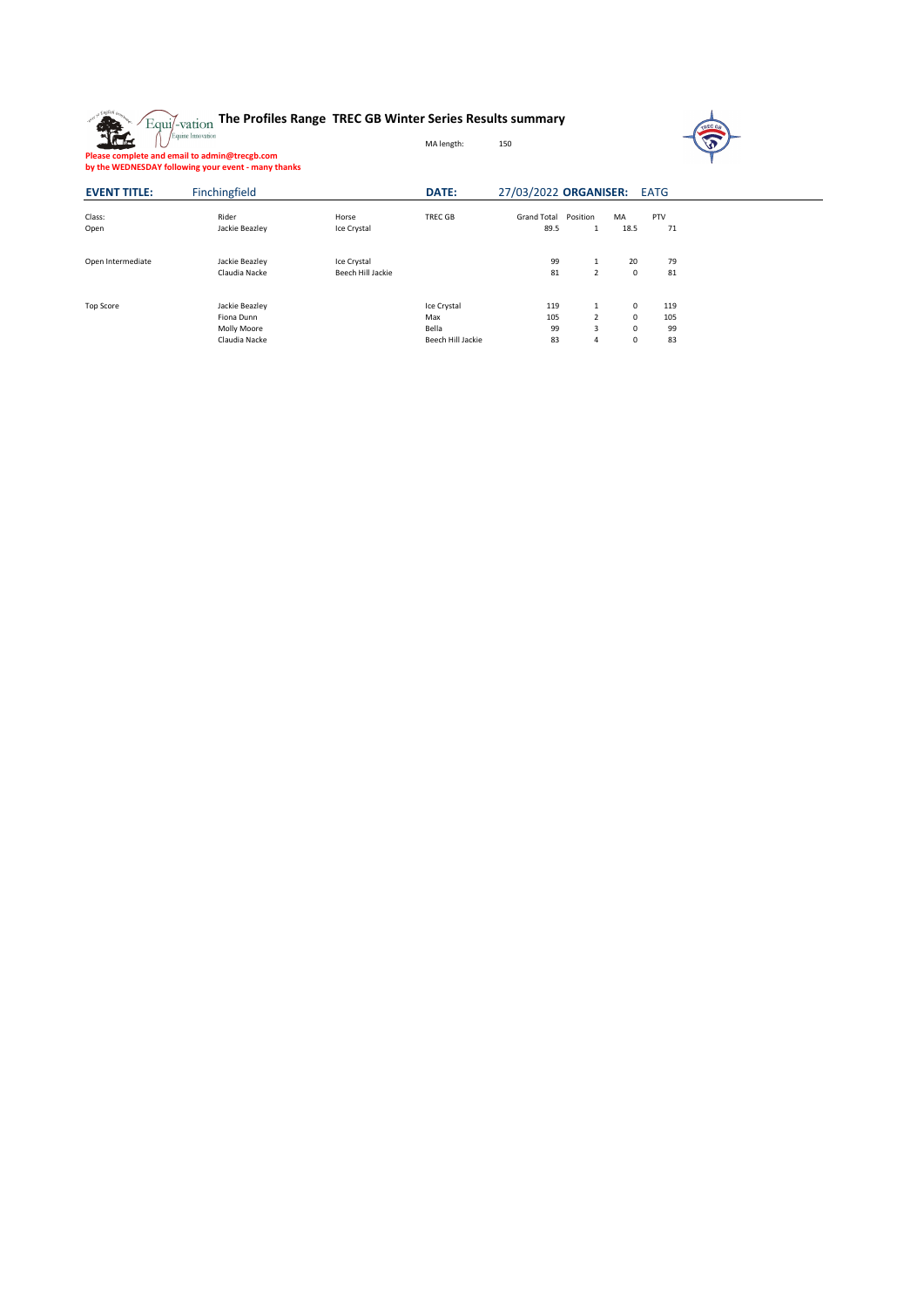



**Please complete and email to admin@trecgb.com by the WEDNESDAY following your event - many thanks**

| <b>EVENT TITLE:</b> | Finchingfield  |                   | <b>DATE:</b>      | 27/03/2022 ORGANISER: EATG |                |             |            |  |
|---------------------|----------------|-------------------|-------------------|----------------------------|----------------|-------------|------------|--|
| Class:              | Rider          | Horse             | <b>TREC GB</b>    | <b>Grand Total</b>         | Position       | MA          | <b>PTV</b> |  |
| Open                | Jackie Beazley | Ice Crystal       |                   | 89.5                       | 1              | 18.5        | 71         |  |
| Open Intermediate   | Jackie Beazley | Ice Crystal       |                   | 99                         | 1              | 20          | 79         |  |
|                     | Claudia Nacke  | Beech Hill Jackie |                   | 81                         | $2^{\circ}$    | $\mathbf 0$ | 81         |  |
| <b>Top Score</b>    | Jackie Beazley |                   | Ice Crystal       | 119                        | 1              | $\mathbf 0$ | 119        |  |
|                     | Fiona Dunn     |                   | Max               | 105                        | $\overline{2}$ | $\mathbf 0$ | 105        |  |
|                     | Molly Moore    |                   | Bella             | 99                         | $\overline{3}$ | $\mathbf 0$ | 99         |  |
|                     | Claudia Nacke  |                   | Beech Hill Jackie | 83                         | 4              | $\mathbf 0$ | 83         |  |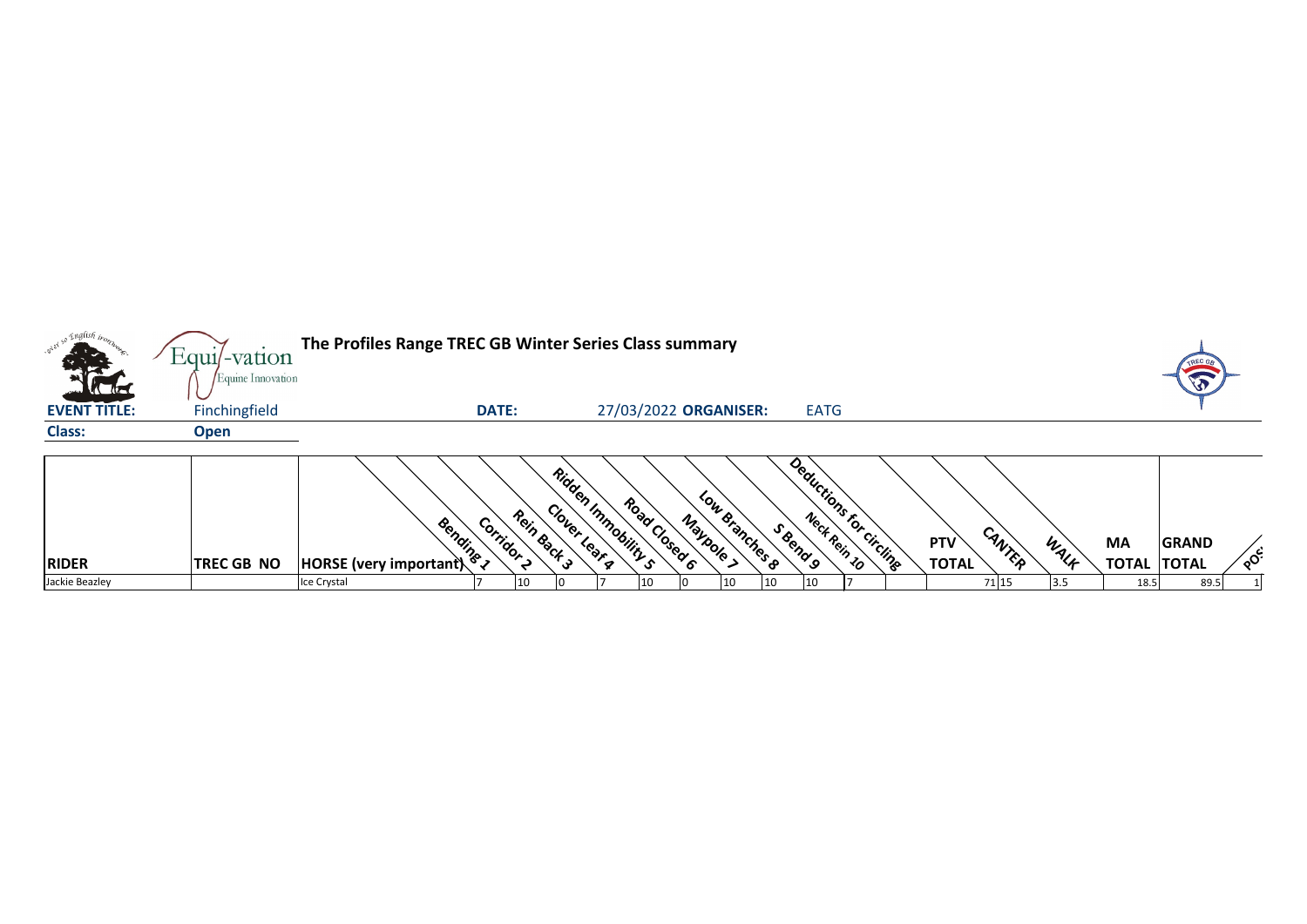| so English iron.                   | Equil-vation                       | The Profiles Range TREC GB Winter Series Class summary |                       |             |                                    |                       |           |                |              |              |                         |                            |        |       |                                 |              |    |
|------------------------------------|------------------------------------|--------------------------------------------------------|-----------------------|-------------|------------------------------------|-----------------------|-----------|----------------|--------------|--------------|-------------------------|----------------------------|--------|-------|---------------------------------|--------------|----|
| <b>Kata</b><br><b>EVENT TITLE:</b> | Equine Innovation<br>Finchingfield |                                                        | <b>DATE:</b>          |             |                                    | 27/03/2022 ORGANISER: |           |                |              | <b>EATG</b>  |                         |                            |        |       |                                 |              |    |
| <b>Class:</b>                      | <b>Open</b>                        |                                                        |                       |             |                                    |                       |           |                |              |              |                         |                            |        |       |                                 |              |    |
| <b>RIDER</b>                       | <b>TREC GB NO</b>                  | Bendings<br><b>HORSE</b> (very important)              | Corridor <sub>2</sub> | Rein Back 3 | Ridden Immobility s<br>Clover Lear | Road Closed 6         | Maybole > | Low Branches 8 | S Bend 9     |              | Deductions for circling | <b>PTV</b><br><b>TOTAL</b> | CANTER | WALF  | <b>MA</b><br><b>TOTAL TOTAL</b> | <b>GRAND</b> | ໌ດ |
| Jackie Beazley                     |                                    | Ice Crystal                                            |                       | 10          |                                    | 10                    |           | 10             | $ 10\rangle$ | $ 10\rangle$ |                         |                            | 71 15  | $3.5$ | 18.5                            | 89.5         |    |



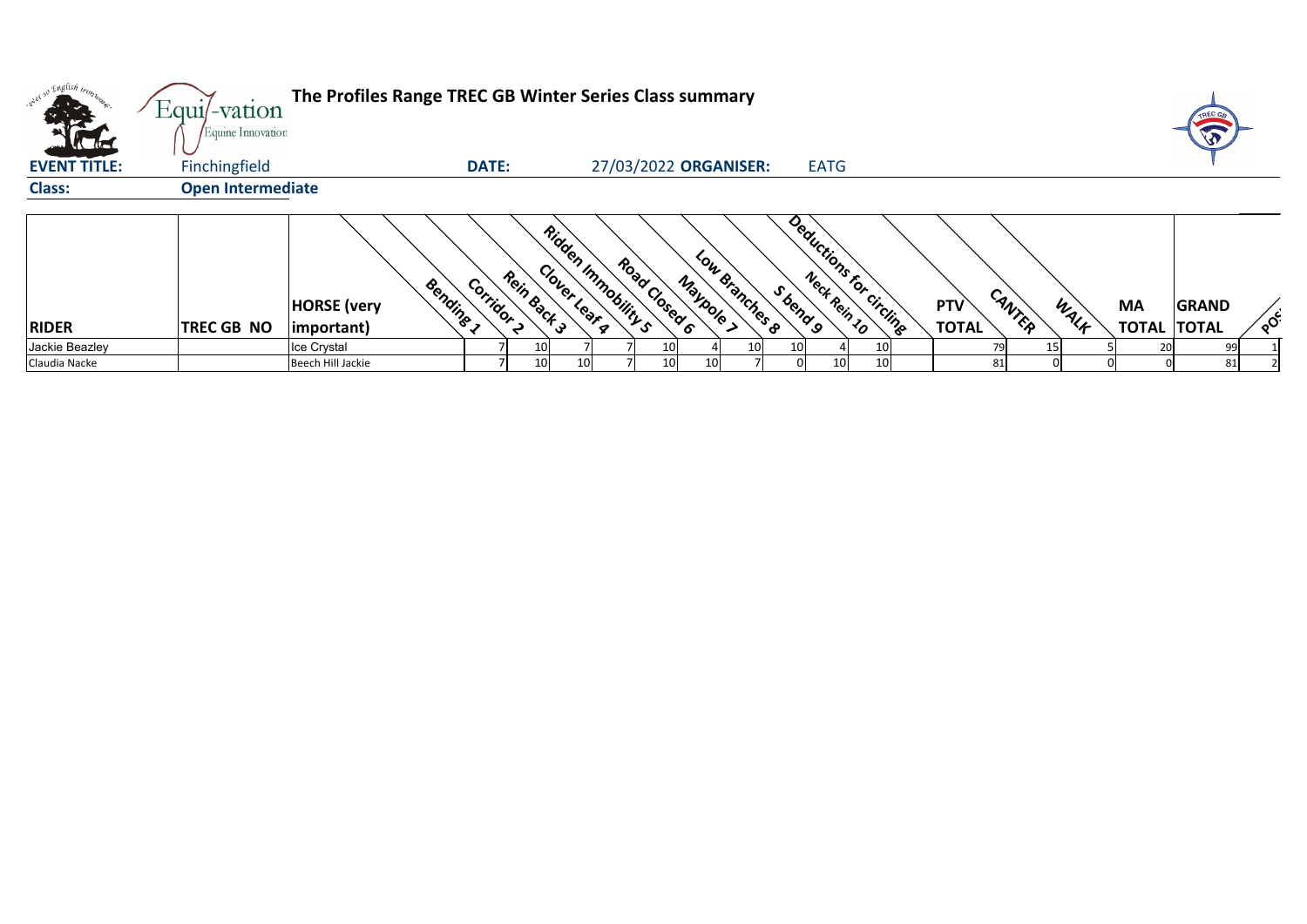| orel so English trong<br><b>Victor</b> | The Profiles Range TREC GB Winter Series Class summary<br>Equi/-vation<br>Equine Innovation |                                 |                          |                                    |                                              |                                    |                 |                      |      |                    |              |    |
|----------------------------------------|---------------------------------------------------------------------------------------------|---------------------------------|--------------------------|------------------------------------|----------------------------------------------|------------------------------------|-----------------|----------------------|------|--------------------|--------------|----|
| <b>EVENT TITLE:</b>                    | Finchingfield                                                                               |                                 | <b>DATE:</b>             |                                    | 27/03/2022 ORGANISER:                        | <b>EATG</b>                        |                 |                      |      |                    |              |    |
| <b>Class:</b>                          | <b>Open Intermediate</b>                                                                    |                                 |                          |                                    |                                              |                                    |                 |                      |      |                    |              |    |
|                                        |                                                                                             | Bendine 1<br><b>HORSE</b> (very | Rein Back 3<br>Corridor, | Ridden Immobility s<br>Clover Lear | Low Branches 8<br>Road Closed 6<br>Maypole > | Deductions for circling<br>Sbend 9 |                 | CANTER<br><b>PTV</b> | WALF | <b>MA</b>          | <b>GRAND</b> | ໌ດ |
| <b>RIDER</b>                           | <b>TREC GB NO</b>                                                                           | important)                      |                          |                                    |                                              |                                    |                 | <b>TOTAL</b>         |      | <b>TOTAL TOTAL</b> |              |    |
| Jackie Beazley                         |                                                                                             | Ice Crystal                     |                          |                                    | 10                                           | 10                                 | 10 <sub>l</sub> | 79                   | 15   | 20 <sub>l</sub>    | 99           |    |
| Claudia Nacke                          |                                                                                             | Beech Hill Jackie               | 10I                      | 10 <sup>1</sup>                    | 10<br>10 <sup>1</sup>                        | 10<br>() I                         | 10 <sup>1</sup> | 81                   |      |                    | 81           |    |